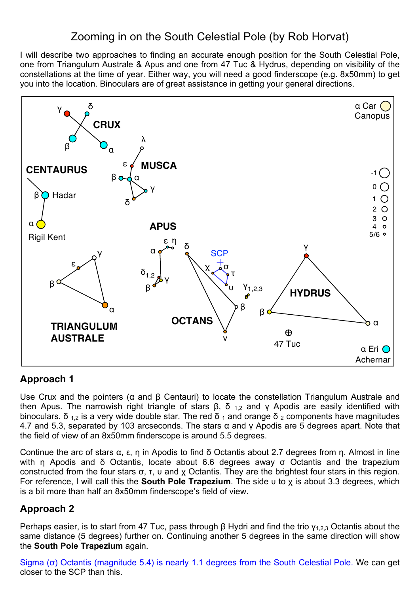## Zooming in on the South Celestial Pole (by Rob Horvat)

I will describe two approaches to finding an accurate enough position for the South Celestial Pole, one from Triangulum Australe & Apus and one from 47 Tuc & Hydrus, depending on visibility of the constellations at the time of year. Either way, you will need a good finderscope (e.g. 8x50mm) to get you into the location. Binoculars are of great assistance in getting your general directions.



## **Approach 1**

Use Crux and the pointers (α and β Centauri) to locate the constellation Triangulum Australe and then Apus. The narrowish right triangle of stars β, δ <sub>1,2</sub> and γ Apodis are easily identified with binoculars. δ<sub>12</sub> is a very wide double star. The red δ<sub>1</sub> and orange δ<sub>2</sub> components have magnitudes 4.7 and 5.3, separated by 103 arcseconds. The stars  $\alpha$  and  $\gamma$  Apodis are 5 degrees apart. Note that the field of view of an 8x50mm finderscope is around 5.5 degrees.

Continue the arc of stars α, ε, η in Apodis to find δ Octantis about 2.7 degrees from η. Almost in line with η Apodis and δ Octantis, locate about 6.6 degrees away σ Octantis and the trapezium constructed from the four stars σ, τ, υ and χ Octantis. They are the brightest four stars in this region. For reference, I will call this the **South Pole Trapezium**. The side υ to χ is about 3.3 degrees, which is a bit more than half an 8x50mm finderscope's field of view.

## **Approach 2**

Perhaps easier, is to start from 47 Tuc, pass through β Hydri and find the trio  $γ<sub>1,2,3</sub>$  Octantis about the same distance (5 degrees) further on. Continuing another 5 degrees in the same direction will show the **South Pole Trapezium** again.

Sigma (σ) Octantis (magnitude 5.4) is nearly 1.1 degrees from the South Celestial Pole. We can get closer to the SCP than this.